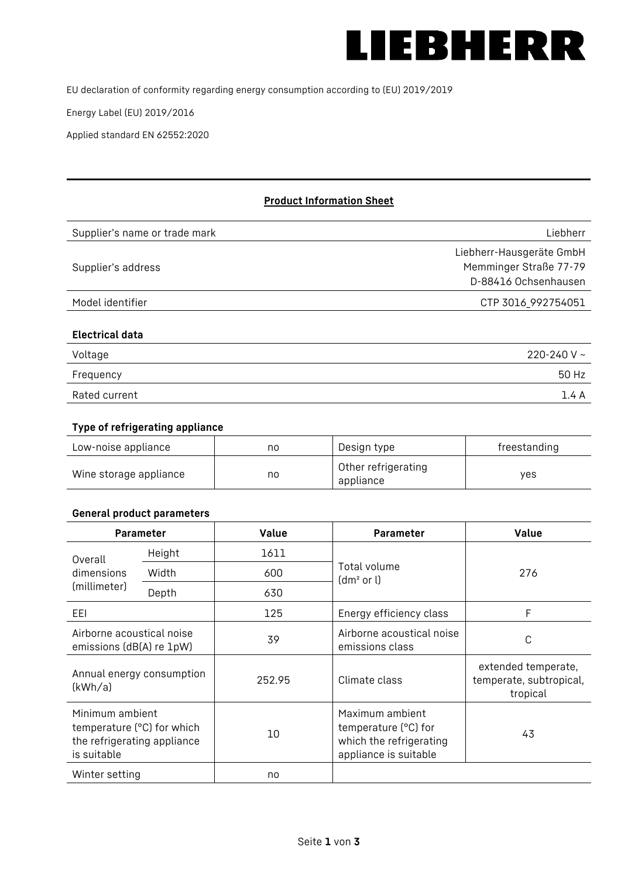

EU declaration of conformity regarding energy consumption according to (EU) 2019/2019

Energy Label (EU) 2019/2016

Applied standard EN 62552:2020

# **Product Information Sheet**

| Supplier's name or trade mark | Liebherr                                                                   |
|-------------------------------|----------------------------------------------------------------------------|
| Supplier's address            | Liebherr-Hausgeräte GmbH<br>Memminger Straße 77-79<br>D-88416 Ochsenhausen |
| Model identifier              | CTP 3016_992754051                                                         |
| <b>Electrical data</b>        |                                                                            |
| Voltage                       | 220-240 V $\sim$                                                           |
| Frequency                     | 50 Hz                                                                      |

## Rated current 1.4 A

#### **Type of refrigerating appliance**

| Low-noise appliance    | no | Design type                      | freestanding |
|------------------------|----|----------------------------------|--------------|
| Wine storage appliance | no | Other refrigerating<br>appliance | yes          |

#### **General product parameters**

| Value<br>Parameter                                                                          |       | <b>Parameter</b> | <b>Value</b>                                                                                |                                                            |
|---------------------------------------------------------------------------------------------|-------|------------------|---------------------------------------------------------------------------------------------|------------------------------------------------------------|
| Height<br>Overall                                                                           |       | 1611             |                                                                                             |                                                            |
| dimensions<br>(millimeter)                                                                  | Width | 600              | Total volume<br>(dm <sup>2</sup> or l)                                                      | 276                                                        |
|                                                                                             | Depth | 630              |                                                                                             |                                                            |
| EEI                                                                                         |       | 125              | Energy efficiency class                                                                     | F                                                          |
| Airborne acoustical noise<br>emissions (dB(A) re 1pW)                                       |       | 39               | Airborne acoustical noise<br>emissions class                                                | С                                                          |
| Annual energy consumption<br>(kWh/a)                                                        |       | 252.95           | Climate class                                                                               | extended temperate,<br>temperate, subtropical,<br>tropical |
| Minimum ambient<br>temperature (°C) for which<br>the refrigerating appliance<br>is suitable |       | 10               | Maximum ambient<br>temperature (°C) for<br>which the refrigerating<br>appliance is suitable | 43                                                         |
| Winter setting                                                                              |       | no               |                                                                                             |                                                            |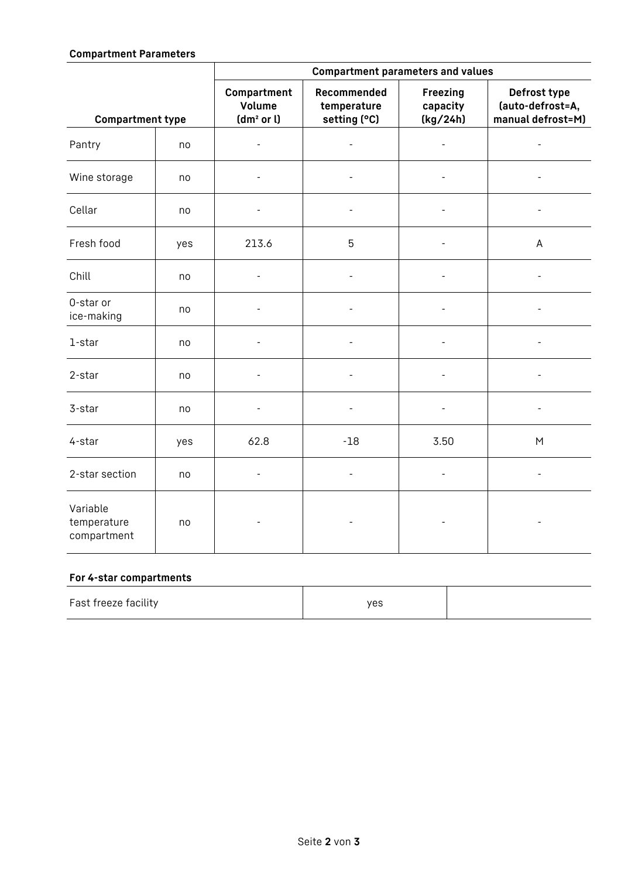#### **Compartment Parameters**

|                                        |     | <b>Compartment parameters and values</b>        |                                            |                                  |                                                       |
|----------------------------------------|-----|-------------------------------------------------|--------------------------------------------|----------------------------------|-------------------------------------------------------|
| <b>Compartment type</b>                |     | Compartment<br>Volume<br>(dm <sup>2</sup> or l) | Recommended<br>temperature<br>setting (°C) | Freezing<br>capacity<br>(kg/24h) | Defrost type<br>(auto-defrost=A,<br>manual defrost=M) |
| Pantry                                 | no  | $\qquad \qquad -$                               | $\qquad \qquad \blacksquare$               | $\overline{\phantom{a}}$         | $\overline{\phantom{a}}$                              |
| Wine storage                           | no  |                                                 |                                            |                                  |                                                       |
| Cellar                                 | no  | $\qquad \qquad -$                               |                                            |                                  |                                                       |
| Fresh food                             | yes | 213.6                                           | 5                                          |                                  | A                                                     |
| Chill                                  | no  | $\overline{\phantom{0}}$                        | $\overline{a}$                             |                                  | $\overline{\phantom{a}}$                              |
| 0-star or<br>ice-making                | no  |                                                 |                                            |                                  |                                                       |
| 1-star                                 | no  | $\overline{a}$                                  | $\overline{a}$                             |                                  |                                                       |
| 2-star                                 | no  | $\overline{\phantom{0}}$                        | $\overline{\phantom{a}}$                   |                                  | $\overline{\phantom{a}}$                              |
| 3-star                                 | no  | $\overline{a}$                                  | $\overline{\phantom{a}}$                   |                                  | $\overline{a}$                                        |
| 4-star                                 | yes | 62.8                                            | $-18$                                      | 3.50                             | ${\sf M}$                                             |
| 2-star section                         | no  | $\overline{\phantom{a}}$                        | $\overline{\phantom{a}}$                   | $\overline{\phantom{a}}$         | $\overline{\phantom{a}}$                              |
| Variable<br>temperature<br>compartment | no  |                                                 |                                            |                                  |                                                       |

#### **For 4-star compartments**

| Fast freeze facility | yes |  |
|----------------------|-----|--|
|                      |     |  |